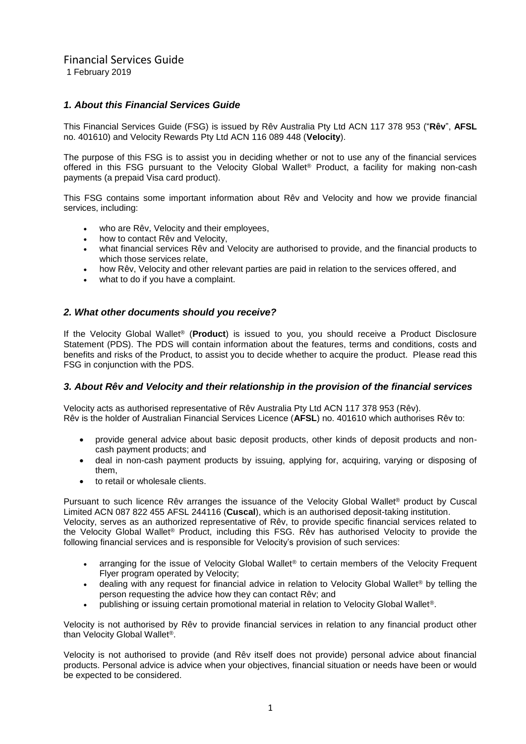# Financial Services Guide

1 February 2019

# *1. About this Financial Services Guide*

This Financial Services Guide (FSG) is issued by Rêv Australia Pty Ltd ACN 117 378 953 ("**Rêv**", **AFSL** no. 401610) and Velocity Rewards Pty Ltd ACN 116 089 448 (**Velocity**).

The purpose of this FSG is to assist you in deciding whether or not to use any of the financial services offered in this FSG pursuant to the Velocity Global Wallet® Product, a facility for making non-cash payments (a prepaid Visa card product).

This FSG contains some important information about Rêv and Velocity and how we provide financial services, including:

- who are Rêv, Velocity and their employees.
- how to contact Rêv and Velocity.
- what financial services Rêv and Velocity are authorised to provide, and the financial products to which those services relate,
- how Rêv, Velocity and other relevant parties are paid in relation to the services offered, and
- what to do if you have a complaint.

#### *2. What other documents should you receive?*

If the Velocity Global Wallet® (**Product**) is issued to you, you should receive a Product Disclosure Statement (PDS). The PDS will contain information about the features, terms and conditions, costs and benefits and risks of the Product, to assist you to decide whether to acquire the product. Please read this FSG in conjunction with the PDS.

#### *3. About Rêv and Velocity and their relationship in the provision of the financial services*

Velocity acts as authorised representative of Rêv Australia Pty Ltd ACN 117 378 953 (Rêv). Rêv is the holder of Australian Financial Services Licence (**AFSL**) no. 401610 which authorises Rêv to:

- provide general advice about basic deposit products, other kinds of deposit products and noncash payment products; and
- deal in non-cash payment products by issuing, applying for, acquiring, varying or disposing of them,
- to retail or wholesale clients.

Pursuant to such licence Rêv arranges the issuance of the Velocity Global Wallet® product by Cuscal Limited ACN 087 822 455 AFSL 244116 (**Cuscal**), which is an authorised deposit-taking institution. Velocity, serves as an authorized representative of Rêv, to provide specific financial services related to the Velocity Global Wallet® Product, including this FSG. Rêv has authorised Velocity to provide the following financial services and is responsible for Velocity's provision of such services:

- arranging for the issue of Velocity Global Wallet® to certain members of the Velocity Frequent Flyer program operated by Velocity;
- dealing with any request for financial advice in relation to Velocity Global Wallet® by telling the person requesting the advice how they can contact Rêv; and
- publishing or issuing certain promotional material in relation to Velocity Global Wallet®.

Velocity is not authorised by Rêv to provide financial services in relation to any financial product other than Velocity Global Wallet®.

Velocity is not authorised to provide (and Rêv itself does not provide) personal advice about financial products. Personal advice is advice when your objectives, financial situation or needs have been or would be expected to be considered.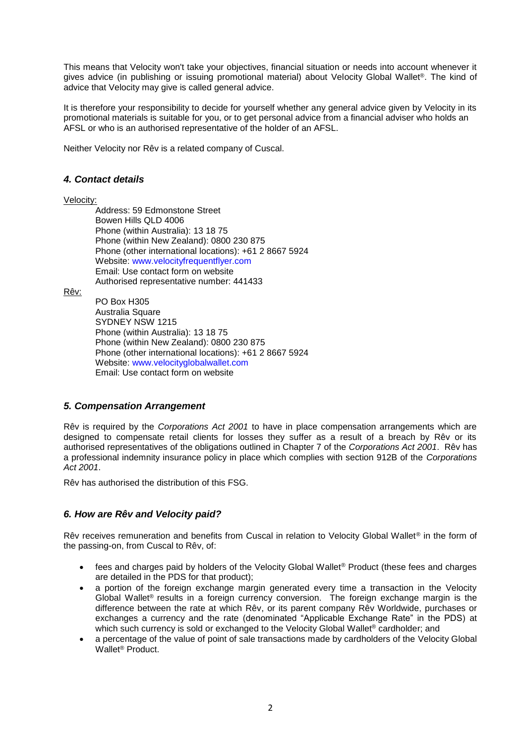This means that Velocity won't take your objectives, financial situation or needs into account whenever it gives advice (in publishing or issuing promotional material) about Velocity Global Wallet®. The kind of advice that Velocity may give is called general advice.

It is therefore your responsibility to decide for yourself whether any general advice given by Velocity in its promotional materials is suitable for you, or to get personal advice from a financial adviser who holds an AFSL or who is an authorised representative of the holder of an AFSL.

Neither Velocity nor Rêv is a related company of Cuscal.

### *4. Contact details*

Velocity:

Address: 59 Edmonstone Street Bowen Hills QLD 4006 Phone (within Australia): 13 18 75 Phone (within New Zealand): 0800 230 875 Phone (other international locations): +61 2 8667 5924 Website: www.velocityfrequentflyer.com Email: Use contact form on website Authorised representative number: 441433

Rêv:

PO Box H305 Australia Square SYDNEY NSW 1215 Phone (within Australia): 13 18 75 Phone (within New Zealand): 0800 230 875 Phone (other international locations): +61 2 8667 5924 Website: www.velocityglobalwallet.com Email: Use contact form on website

# *5. Compensation Arrangement*

Rêv is required by the *Corporations Act 2001* to have in place compensation arrangements which are designed to compensate retail clients for losses they suffer as a result of a breach by Rêv or its authorised representatives of the obligations outlined in Chapter 7 of the *Corporations Act 2001*. Rêv has a professional indemnity insurance policy in place which complies with section 912B of the *Corporations Act 2001*.

Rêv has authorised the distribution of this FSG.

# *6. How are Rêv and Velocity paid?*

Rêv receives remuneration and benefits from Cuscal in relation to Velocity Global Wallet® in the form of the passing-on, from Cuscal to Rêv, of:

- fees and charges paid by holders of the Velocity Global Wallet<sup>®</sup> Product (these fees and charges are detailed in the PDS for that product);
- a portion of the foreign exchange margin generated every time a transaction in the Velocity Global Wallet® results in a foreign currency conversion. The foreign exchange margin is the difference between the rate at which Rêv, or its parent company Rêv Worldwide, purchases or exchanges a currency and the rate (denominated "Applicable Exchange Rate" in the PDS) at which such currency is sold or exchanged to the Velocity Global Wallet® cardholder; and
- a percentage of the value of point of sale transactions made by cardholders of the Velocity Global Wallet® Product.